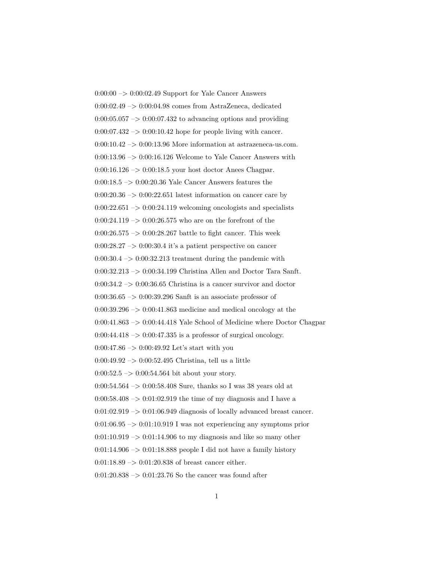$0:00:00 \rightarrow 0:00:02.49$  Support for Yale Cancer Answers 0:00:02.49 –> 0:00:04.98 comes from AstraZeneca, dedicated  $0:00:05.057 \rightarrow 0:00:07.432$  to advancing options and providing  $0:00:07.432 \rightarrow 0:00:10.42$  hope for people living with cancer.  $0:00:10.42 \rightarrow 0:00:13.96$  More information at astrazeneca-us.com. 0:00:13.96 –> 0:00:16.126 Welcome to Yale Cancer Answers with  $0:00:16.126 \rightarrow 0:00:18.5$  your host doctor Anees Chagpar. 0:00:18.5 –> 0:00:20.36 Yale Cancer Answers features the  $0:00:20.36 \rightarrow 0:00:22.651$  latest information on cancer care by  $0:00:22.651 \rightarrow 0:00:24.119$  welcoming oncologists and specialists  $0:00:24.119 \rightarrow 0:00:26.575$  who are on the forefront of the  $0:00:26.575 \rightarrow 0:00:28.267$  battle to fight cancer. This week  $0:00:28.27 \rightarrow 0:00:30.4$  it's a patient perspective on cancer  $0:00:30.4 \rightarrow 0:00:32.213$  treatment during the pandemic with 0:00:32.213 –> 0:00:34.199 Christina Allen and Doctor Tara Sanft.  $0:00:34.2 \rightarrow 0:00:36.65$  Christina is a cancer survivor and doctor 0:00:36.65 –> 0:00:39.296 Sanft is an associate professor of  $0:00:39.296 \rightarrow 0:00:41.863$  medicine and medical oncology at the  $0:00:41.863 \rightarrow 0:00:44.418$  Yale School of Medicine where Doctor Chagpar  $0:00:44.418 \rightarrow 0:00:47.335$  is a professor of surgical oncology.  $0:00:47.86 \rightarrow 0:00:49.92$  Let's start with you  $0:00:49.92 \rightarrow 0:00:52.495$  Christina, tell us a little  $0:00:52.5 \rightarrow 0:00:54.564$  bit about your story. 0:00:54.564 –> 0:00:58.408 Sure, thanks so I was 38 years old at  $0:00:58.408 \rightarrow 0:01:02.919$  the time of my diagnosis and I have a  $0:01:02.919 \rightarrow 0:01:06.949$  diagnosis of locally advanced breast cancer.  $0:01:06.95 \rightarrow 0:01:10.919$  I was not experiencing any symptoms prior  $0:01:10.919 \rightarrow 0:01:14.906$  to my diagnosis and like so many other  $0:01:14.906 \rightarrow 0:01:18.888$  people I did not have a family history  $0:01:18.89 \rightarrow 0:01:20.838$  of breast cancer either. 0:01:20.838  $\rightarrow$  0:01:23.76 So the cancer was found after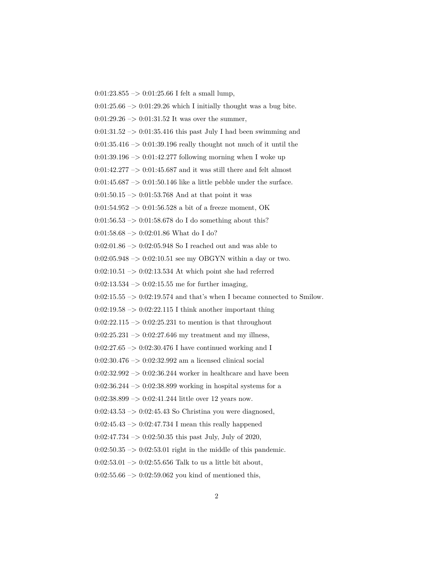$0:01:23.855 \rightarrow 0:01:25.66$  I felt a small lump,  $0:01:25.66 \rightarrow 0:01:29.26$  which I initially thought was a bug bite.  $0:01:29.26 \rightarrow 0:01:31.52$  It was over the summer,  $0:01:31.52 \rightarrow 0:01:35.416$  this past July I had been swimming and  $0:01:35.416 \rightarrow 0:01:39.196$  really thought not much of it until the  $0:01:39.196 \rightarrow 0:01:42.277$  following morning when I woke up  $0:01:42.277 \rightarrow 0:01:45.687$  and it was still there and felt almost  $0:01:45.687 \rightarrow 0:01:50.146$  like a little pebble under the surface.  $0:01:50.15 \rightarrow 0:01:53.768$  And at that point it was 0:01:54.952  $\rightarrow$  0:01:56.528 a bit of a freeze moment, OK 0:01:56.53 –> 0:01:58.678 do I do something about this? 0:01:58.68  $->$  0:02:01.86 What do I do?  $0.02{\cdot}01.86$   $->$   $0.02{\cdot}05.948$  So I reached out and was able to  $0:02:05.948 \rightarrow 0:02:10.51$  see my OBGYN within a day or two. 0:02:10.51  $\Rightarrow$  0:02:13.534 At which point she had referred  $0:02:13.534 \rightarrow 0:02:15.55$  me for further imaging,  $0:02:15.55 \rightarrow 0:02:19.574$  and that's when I became connected to Smilow.  $0:02:19.58 \rightarrow 0:02:22.115$  I think another important thing  $0:02:22.115 \rightarrow 0:02:25.231$  to mention is that throughout  $0:02:25.231 \rightarrow 0:02:27.646$  my treatment and my illness,  $0:02:27.65 \rightarrow 0:02:30.476$  I have continued working and I 0:02:30.476 –> 0:02:32.992 am a licensed clinical social  $0:02:32.992 \rightarrow 0:02:36.244$  worker in healthcare and have been  $0:02:36.244 \rightarrow 0:02:38.899$  working in hospital systems for a  $0:02:38.899 \rightarrow 0:02:41.244$  little over 12 years now.  $0:02:43.53 \rightarrow 0:02:45.43$  So Christina you were diagnosed,  $0:02:45.43 \rightarrow 0:02:47.734$  I mean this really happened  $0:02:47.734 \rightarrow 0:02:50.35$  this past July, July of 2020,  $0:02:50.35 \rightarrow 0:02:53.01$  right in the middle of this pandemic. 0:02:53.01  $\rightarrow$  0:02:55.656 Talk to us a little bit about,  $0:02:55.66 \rightarrow 0:02:59.062$  you kind of mentioned this,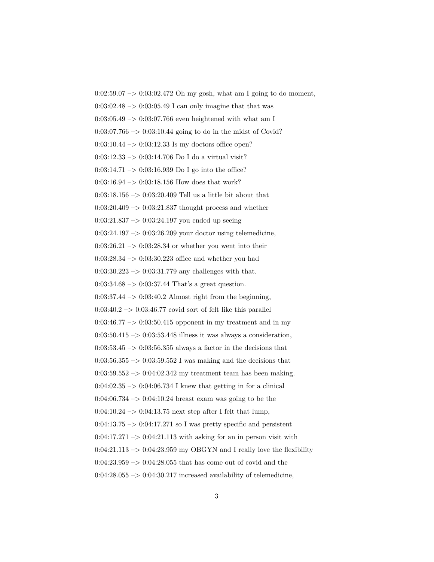$0:02:59.07 \rightarrow 0:03:02.472$  Oh my gosh, what am I going to do moment,  $0:03:02.48 \rightarrow 0:03:05.49$  I can only imagine that that was  $0:03:05.49 \rightarrow 0:03:07.766$  even heightened with what am I  $0:03:07.766 \rightarrow 0:03:10.44$  going to do in the midst of Covid?  $0:03:10.44 \rightarrow 0:03:12.33$  Is my doctors office open? 0:03:12.33  $\rightarrow$  0:03:14.706 Do I do a virtual visit?  $0:03:14.71 \rightarrow 0:03:16.939$  Do I go into the office?  $0:03:16.94 \rightarrow 0:03:18.156$  How does that work? 0:03:18.156 –> 0:03:20.409 Tell us a little bit about that  $0:03:20.409 \rightarrow 0:03:21.837$  thought process and whether  $0:03:21.837 \rightarrow 0:03:24.197$  you ended up seeing 0:03:24.197 –> 0:03:26.209 your doctor using telemedicine,  $0:03:26.21 \rightarrow 0:03:28.34$  or whether you went into their  $0:03:28.34 \rightarrow 0:03:30.223$  office and whether you had  $0:03:30.223 \rightarrow 0:03:31.779$  any challenges with that.  $0:03:34.68 \rightarrow 0:03:37.44$  That's a great question.  $0:03:37.44 \rightarrow 0:03:40.2$  Almost right from the beginning,  $0:03:40.2 \rightarrow 0:03:46.77$  covid sort of felt like this parallel  $0:03:46.77 \rightarrow 0:03:50.415$  opponent in my treatment and in my  $0:03:50.415 \rightarrow 0:03:53.448$  illness it was always a consideration,  $0:03:53.45 \rightarrow 0:03:56.355$  always a factor in the decisions that  $0:03:56.355 \rightarrow 0:03:59.552$  I was making and the decisions that  $0.03:59.552 \rightarrow 0.04:02.342$  my treatment team has been making.  $0:04:02.35 \rightarrow 0:04:06.734$  I knew that getting in for a clinical  $0:04:06.734 \rightarrow 0:04:10.24$  breast exam was going to be the  $0:04:10.24 \rightarrow 0:04:13.75$  next step after I felt that lump,  $0:04:13.75 \rightarrow 0:04:17.271$  so I was pretty specific and persistent  $0:04:17.271 \rightarrow 0:04:21.113$  with asking for an in person visit with  $0:04:21.113 \rightarrow 0:04:23.959$  my OBGYN and I really love the flexibility 0:04:23.959 –> 0:04:28.055 that has come out of covid and the  $0:04:28.055 \rightarrow 0:04:30.217$  increased availability of telemedicine,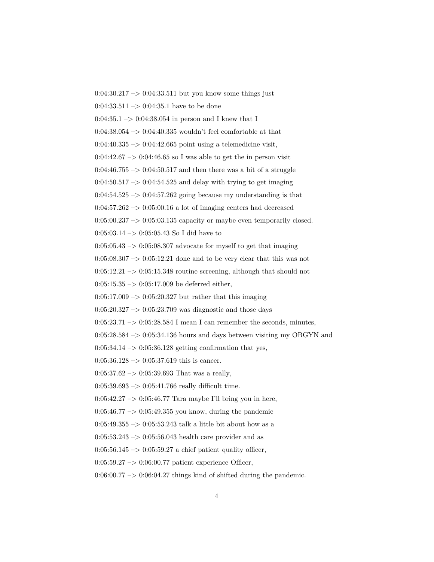$0:04:30.217 \rightarrow 0:04:33.511$  but you know some things just  $0:04:33.511 \rightarrow 0:04:35.1$  have to be done  $0:04:35.1 \rightarrow 0:04:38.054$  in person and I knew that I  $0:04:38.054 \rightarrow 0:04:40.335$  wouldn't feel comfortable at that  $0:04:40.335 \rightarrow 0:04:42.665$  point using a telemedicine visit,  $0:04:42.67 \rightarrow 0:04:46.65$  so I was able to get the in person visit  $0:04:46.755 \rightarrow 0:04:50.517$  and then there was a bit of a struggle  $0.04:50.517 \rightarrow 0.04:54.525$  and delay with trying to get imaging  $0:04:54.525 \rightarrow 0:04:57.262$  going because my understanding is that  $0.04:57.262 \rightarrow 0.05:00.16$  a lot of imaging centers had decreased  $0:05:00.237 \rightarrow 0:05:03.135$  capacity or maybe even temporarily closed. 0:05:03.14 –> 0:05:05.43 So I did have to  $0:05:05.43 \rightarrow 0:05:08.307$  advocate for myself to get that imaging  $0:05:08.307 \rightarrow 0:05:12.21$  done and to be very clear that this was not  $0:05:12.21 \rightarrow 0:05:15.348$  routine screening, although that should not  $0:05:15.35 \rightarrow 0:05:17.009$  be deferred either,  $0:05:17.009 \rightarrow 0:05:20.327$  but rather that this imaging  $0:05:20.327 \rightarrow 0:05:23.709$  was diagnostic and those days  $0:05:23.71 \rightarrow 0:05:28.584$  I mean I can remember the seconds, minutes,  $0:05:28.584 \rightarrow 0:05:34.136$  hours and days between visiting my OBGYN and  $0:05:34.14 \rightarrow 0:05:36.128$  getting confirmation that yes,  $0:05:36.128 \rightarrow 0:05:37.619$  this is cancer.  $0:05:37.62 \rightarrow 0:05:39.693$  That was a really,  $0:05:39.693 \rightarrow 0:05:41.766$  really difficult time. 0:05:42.27  $\rightarrow$  0:05:46.77 Tara maybe I'll bring you in here,  $0:05:46.77 \rightarrow 0:05:49.355$  you know, during the pandemic 0:05:49.355  $\rightarrow$  0:05:53.243 talk a little bit about how as a  $0:05:53.243 \rightarrow 0:05:56.043$  health care provider and as  $0:05:56.145 \rightarrow 0:05:59.27$  a chief patient quality officer, 0:05:59.27 –> 0:06:00.77 patient experience Officer,  $0:06:00.77 \rightarrow 0:06:04.27$  things kind of shifted during the pandemic.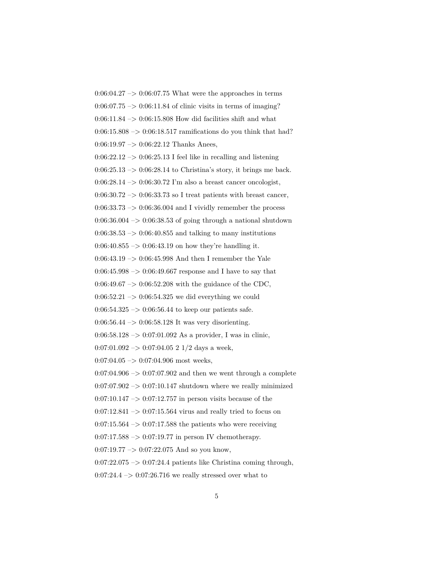$0:06:04.27 \rightarrow 0:06:07.75$  What were the approaches in terms  $0.06:07.75 \rightarrow 0.06:11.84$  of clinic visits in terms of imaging?  $0:06:11.84 \rightarrow 0:06:15.808$  How did facilities shift and what  $0:06:15.808 \rightarrow 0:06:18.517$  ramifications do you think that had?  $0:06:19.97 \rightarrow 0:06:22.12$  Thanks Anees,  $0:06:22.12 \rightarrow 0:06:25.13$  I feel like in recalling and listening  $0:06:25.13 \rightarrow 0:06:28.14$  to Christina's story, it brings me back.  $0:06:28.14 \rightarrow 0:06:30.72$  I'm also a breast cancer oncologist,  $0:06:30.72 \rightarrow 0:06:33.73$  so I treat patients with breast cancer,  $0:06:33.73 \rightarrow 0:06:36.004$  and I vividly remember the process  $0.06:36.004 \rightarrow 0.06:38.53$  of going through a national shutdown  $0:06:38.53 \rightarrow 0:06:40.855$  and talking to many institutions  $0:06:40.855 \rightarrow 0:06:43.19$  on how they're handling it. 0:06:43.19  $\rightarrow$  0:06:45.998 And then I remember the Yale  $0:06:45.998 \rightarrow 0:06:49.667$  response and I have to say that  $0.06:49.67 \rightarrow 0.06:52.208$  with the guidance of the CDC,  $0:06:52.21 \rightarrow 0:06:54.325$  we did everything we could  $0:06:54.325 \rightarrow 0:06:56.44$  to keep our patients safe. 0:06:56.44  $\rightarrow$  0:06:58.128 It was very disorienting.  $0:06:58.128 \rightarrow 0:07:01.092$  As a provider, I was in clinic,  $0:07:01.092 \rightarrow 0:07:04.05 21/2$  days a week,  $0:07:04.05 \rightarrow 0:07:04.906$  most weeks,  $0:07:04.906 \rightarrow 0:07:07.902$  and then we went through a complete  $0:07:07.902 \rightarrow 0:07:10.147$  shutdown where we really minimized  $0:07:10.147 \rightarrow 0:07:12.757$  in person visits because of the  $0:07:12.841 \rightarrow 0:07:15.564$  virus and really tried to focus on  $0:07:15.564 \rightarrow 0:07:17.588$  the patients who were receiving  $0:07:17.588 \rightarrow 0:07:19.77$  in person IV chemotherapy.  $0:07:19.77 \rightarrow 0:07:22.075$  And so you know,  $0:07:22.075 \rightarrow 0:07:24.4$  patients like Christina coming through,  $0:07:24.4 \rightarrow 0:07:26.716$  we really stressed over what to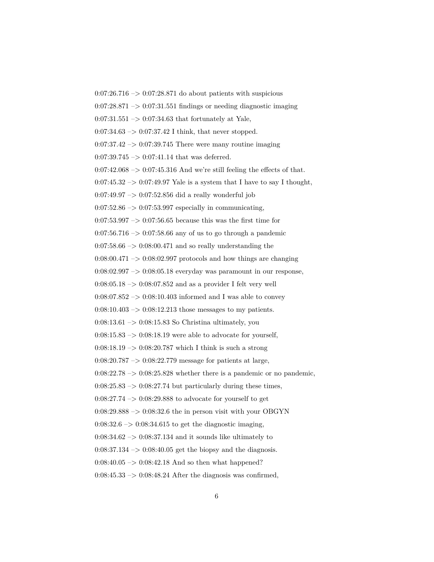$0:07:26.716 \rightarrow 0:07:28.871$  do about patients with suspicious  $0.07:28.871 \rightarrow 0.07:31.551$  findings or needing diagnostic imaging  $0:07:31.551 \rightarrow 0:07:34.63$  that fortunately at Yale,  $0:07:34.63 \rightarrow 0:07:37.42$  I think, that never stopped.  $0:07:37.42 \rightarrow 0:07:39.745$  There were many routine imaging  $0:07:39.745 \rightarrow 0:07:41.14$  that was deferred.  $0:07:42.068 \rightarrow 0:07:45.316$  And we're still feeling the effects of that.  $0:07:45.32 \rightarrow 0:07:49.97$  Yale is a system that I have to say I thought,  $0:07:49.97 \rightarrow 0:07:52.856$  did a really wonderful job  $0:07:52.86 \rightarrow 0:07:53.997$  especially in communicating,  $0:07:53.997 \rightarrow 0:07:56.65$  because this was the first time for  $0:07:56.716 \rightarrow 0:07:58.66$  any of us to go through a pandemic  $0:07:58.66 \rightarrow 0:08:00.471$  and so really understanding the  $0:08:00.471 \rightarrow 0:08:02.997$  protocols and how things are changing 0:08:02.997 –> 0:08:05.18 everyday was paramount in our response,  $0:08:05.18 \rightarrow 0:08:07.852$  and as a provider I felt very well  $0:08:07.852 \rightarrow 0:08:10.403$  informed and I was able to convey  $0:08:10.403 \rightarrow 0:08:12.213$  those messages to my patients.  $0:08:13.61 \rightarrow 0:08:15.83$  So Christina ultimately, you  $0:08:15.83 \rightarrow 0:08:18.19$  were able to advocate for yourself,  $0:08:18.19 \rightarrow 0:08:20.787$  which I think is such a strong 0:08:20.787 –> 0:08:22.779 message for patients at large,  $0:08:22.78 \rightarrow 0:08:25.828$  whether there is a pandemic or no pandemic,  $0:08:25.83 \rightarrow 0:08:27.74$  but particularly during these times,  $0:08:27.74 \rightarrow 0:08:29.888$  to advocate for yourself to get  $0:08:29.888 \rightarrow 0:08:32.6$  the in person visit with your OBGYN  $0:08:32.6 \rightarrow 0:08:34.615$  to get the diagnostic imaging,  $0:08:34.62 \rightarrow 0:08:37.134$  and it sounds like ultimately to 0:08:37.134  $\rightarrow$  0:08:40.05 get the biopsy and the diagnosis.  $0:08:40.05 \rightarrow 0:08:42.18$  And so then what happened?  $0:08:45.33 \rightarrow 0:08:48.24$  After the diagnosis was confirmed,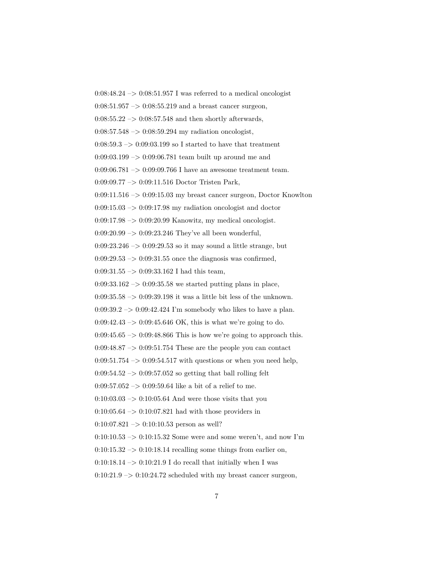$0:08:48.24 \rightarrow 0:08:51.957$  I was referred to a medical oncologist  $0:08:51.957 \rightarrow 0:08:55.219$  and a breast cancer surgeon,  $0:08:55.22 \rightarrow 0:08:57.548$  and then shortly afterwards,  $0.08:57.548 \rightarrow 0.08:59.294$  my radiation oncologist,  $0:08:59.3 \rightarrow 0:09:03.199$  so I started to have that treatment  $0.09:03.199 \rightarrow 0.09:06.781$  team built up around me and 0:09:06.781 -> 0:09:09.766 I have an awesome treatment team. 0:09:09.77 –> 0:09:11.516 Doctor Tristen Park,  $0:09:11.516 \rightarrow 0:09:15.03$  my breast cancer surgeon, Doctor Knowlton  $0.09:15.03 \rightarrow 0.09:17.98$  my radiation oncologist and doctor  $0.09:17.98 \rightarrow 0.09:20.99$  Kanowitz, my medical oncologist.  $0:09:20.99 \rightarrow 0:09:23.246$  They've all been wonderful,  $0:09:23.246 \rightarrow 0:09:29.53$  so it may sound a little strange, but  $0:09:29.53 \rightarrow 0:09:31.55$  once the diagnosis was confirmed,  $0:09:31.55 \rightarrow 0:09:33.162$  I had this team,  $0:09:33.162 \rightarrow 0:09:35.58$  we started putting plans in place,  $0:09:35.58 \rightarrow 0:09:39.198$  it was a little bit less of the unknown.  $0:09:39.2 \rightarrow 0:09:42.424$  I'm somebody who likes to have a plan. 0:09:42.43  $\rightarrow$  0:09:45.646 OK, this is what we're going to do.  $0:09:45.65 \rightarrow 0:09:48.866$  This is how we're going to approach this.  $0.09:48.87 \rightarrow 0.09:51.754$  These are the people you can contact  $0:09:51.754 \rightarrow 0:09:54.517$  with questions or when you need help,  $0:09:54.52 \rightarrow 0:09:57.052$  so getting that ball rolling felt 0:09:57.052  $\rightarrow$  0:09:59.64 like a bit of a relief to me.  $0:10:03.03 \rightarrow 0:10:05.64$  And were those visits that you  $0:10:05.64 \rightarrow 0:10:07.821$  had with those providers in  $0:10:07.821 \rightarrow 0:10:10.53$  person as well?  $0:10:10.53 \rightarrow 0:10:15.32$  Some were and some weren't, and now I'm  $0:10:15.32 \rightarrow 0:10:18.14$  recalling some things from earlier on,  $0:10:18.14 \rightarrow 0:10:21.9$  I do recall that initially when I was  $0:10:21.9 \rightarrow 0:10:24.72$  scheduled with my breast cancer surgeon,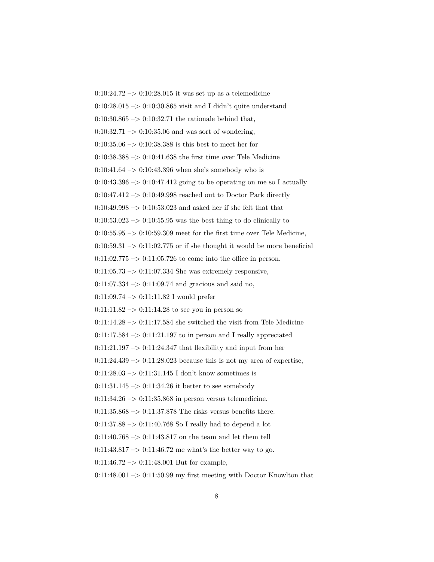$0:10:24.72 \rightarrow 0:10:28.015$  it was set up as a telemedicine  $0:10:28.015 \rightarrow 0:10:30.865$  visit and I didn't quite understand  $0:10:30.865 \rightarrow 0:10:32.71$  the rationale behind that,  $0:10:32.71 \rightarrow 0:10:35.06$  and was sort of wondering,  $0:10:35.06 \rightarrow 0:10:38.388$  is this best to meet her for  $0:10:38.388 \rightarrow 0:10:41.638$  the first time over Tele Medicine  $0:10:41.64 \rightarrow 0:10:43.396$  when she's somebody who is  $0:10:43.396 \rightarrow 0:10:47.412$  going to be operating on me so I actually  $0:10:47.412 \rightarrow 0:10:49.998$  reached out to Doctor Park directly  $0:10:49.998 \rightarrow 0:10:53.023$  and asked her if she felt that that  $0:10:53.023 \rightarrow 0:10:55.95$  was the best thing to do clinically to  $0:10:55.95 \rightarrow 0:10:59.309$  meet for the first time over Tele Medicine,  $0:10:59.31 \rightarrow 0:11:02.775$  or if she thought it would be more beneficial  $0:11:02.775 \rightarrow 0:11:05.726$  to come into the office in person.  $0:11:05.73 \rightarrow 0:11:07.334$  She was extremely responsive,  $0:11:07.334 \rightarrow 0:11:09.74$  and gracious and said no, 0:11:09.74 –> 0:11:11.82 I would prefer  $0:11:11.82 \rightarrow 0:11:14.28$  to see you in person so  $0:11:14.28 \rightarrow 0:11:17.584$  she switched the visit from Tele Medicine  $0:11:17.584 \rightarrow 0:11:21.197$  to in person and I really appreciated  $0:11:21.197 \rightarrow 0:11:24.347$  that flexibility and input from her  $0:11:24.439 \rightarrow 0:11:28.023$  because this is not my area of expertise,  $0:11:28.03 \rightarrow 0:11:31.145$  I don't know sometimes is  $0:11:31.145 \rightarrow 0:11:34.26$  it better to see somebody  $0:11:34.26 \rightarrow 0:11:35.868$  in person versus telemedicine.  $0:11:35.868 \rightarrow 0:11:37.878$  The risks versus benefits there.  $0:11:37.88 \rightarrow 0:11:40.768$  So I really had to depend a lot  $0:11:40.768 \rightarrow 0:11:43.817$  on the team and let them tell 0:11:43.817  $\rightarrow$  0:11:46.72 me what's the better way to go.  $0:11:46.72 \rightarrow 0:11:48.001$  But for example,  $0:11:48.001 \rightarrow 0:11:50.99$  my first meeting with Doctor Knowlton that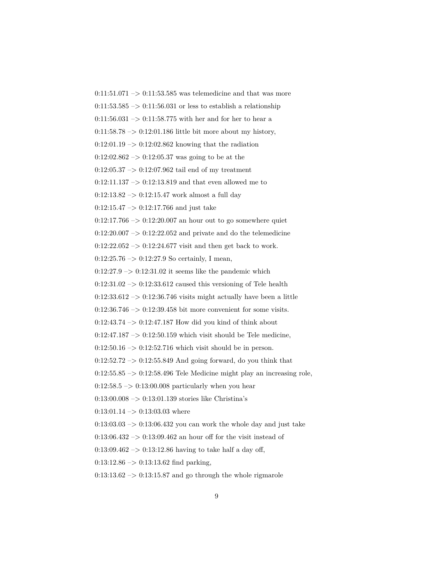$0:11:51.071 \rightarrow 0:11:53.585$  was telemedicine and that was more  $0:11:53.585 \rightarrow 0:11:56.031$  or less to establish a relationship  $0:11:56.031 \rightarrow 0:11:58.775$  with her and for her to hear a  $0:11:58.78 \rightarrow 0:12:01.186$  little bit more about my history,  $0:12:01.19 \rightarrow 0:12:02.862$  knowing that the radiation  $0:12:02.862 \rightarrow 0:12:05.37$  was going to be at the  $0:12:05.37 \rightarrow 0:12:07.962$  tail end of my treatment  $0:12:11.137 \rightarrow 0:12:13.819$  and that even allowed me to  $0:12:13.82 \rightarrow 0:12:15.47$  work almost a full day  $0:12:15.47 \rightarrow 0:12:17.766$  and just take  $0:12:17.766 \rightarrow 0:12:20.007$  an hour out to go somewhere quiet  $0:12:20.007 \rightarrow 0:12:22.052$  and private and do the telemedicine  $0:12:22.052 \rightarrow 0:12:24.677$  visit and then get back to work.  $0:12:25.76 \rightarrow 0:12:27.9$  So certainly, I mean,  $0:12:27.9 \rightarrow 0:12:31.02$  it seems like the pandemic which  $0:12:31.02 \rightarrow 0:12:33.612$  caused this versioning of Tele health  $0:12:33.612 \rightarrow 0:12:36.746$  visits might actually have been a little  $0:12:36.746 \rightarrow 0:12:39.458$  bit more convenient for some visits.  $0:12:43.74 \rightarrow 0:12:47.187$  How did you kind of think about  $0:12:47.187 \rightarrow 0:12:50.159$  which visit should be Tele medicine,  $0:12:50.16 \rightarrow 0:12:52.716$  which visit should be in person.  $0:12:52.72 \rightarrow 0:12:55.849$  And going forward, do you think that  $0:12:55.85 \rightarrow 0:12:58.496$  Tele Medicine might play an increasing role,  $0:12:58.5 \rightarrow 0:13:00.008$  particularly when you hear  $0:13:00.008 \rightarrow 0:13:01.139$  stories like Christina's  $0:13:01.14 \rightarrow 0:13:03.03$  where  $0:13:03.03 \rightarrow 0:13:06.432$  you can work the whole day and just take  $0:13:06.432 \rightarrow 0:13:09.462$  an hour off for the visit instead of 0:13:09.462 –> 0:13:12.86 having to take half a day off,  $0:13:12.86 \rightarrow 0:13:13.62$  find parking,  $0:13:13.62 \rightarrow 0:13:15.87$  and go through the whole rigmarole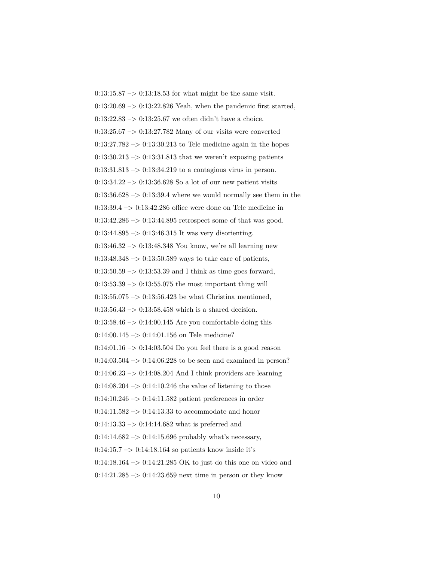0:13:15.87  $\rightarrow$  0:13:18.53 for what might be the same visit.  $0:13:20.69 \rightarrow 0:13:22.826$  Yeah, when the pandemic first started,  $0:13:22.83 \rightarrow 0:13:25.67$  we often didn't have a choice.  $0:13:25.67 \rightarrow 0:13:27.782$  Many of our visits were converted  $0:13:27.782 \rightarrow 0:13:30.213$  to Tele medicine again in the hopes  $0:13:30.213 \rightarrow 0:13:31.813$  that we weren't exposing patients  $0:13:31.813 \rightarrow 0:13:34.219$  to a contagious virus in person.  $0:13:34.22 \rightarrow 0:13:36.628$  So a lot of our new patient visits  $0:13:36.628 \rightarrow 0:13:39.4$  where we would normally see them in the  $0:13:39.4 \rightarrow 0:13:42.286$  office were done on Tele medicine in  $0:13:42.286 \rightarrow 0:13:44.895$  retrospect some of that was good. 0:13:44.895 –> 0:13:46.315 It was very disorienting. 0:13:46.32 –> 0:13:48.348 You know, we're all learning new  $0:13:48.348 \rightarrow 0:13:50.589$  ways to take care of patients,  $0:13:50.59 \rightarrow 0:13:53.39$  and I think as time goes forward,  $0:13:53.39 \rightarrow 0:13:55.075$  the most important thing will  $0:13:55.075 \rightarrow 0:13:56.423$  be what Christina mentioned,  $0:13:56.43 \rightarrow 0:13:58.458$  which is a shared decision.  $0.13:58.46 \rightarrow 0.14:00.145$  Are you comfortable doing this  $0:14:00.145 \rightarrow 0:14:01.156$  on Tele medicine?  $0:14:01.16 \rightarrow 0:14:03.504$  Do you feel there is a good reason  $0:14:03.504 \rightarrow 0:14:06.228$  to be seen and examined in person?  $0:14:06.23 \rightarrow 0:14:08.204$  And I think providers are learning  $0:14:08.204 \rightarrow 0:14:10.246$  the value of listening to those  $0:14:10.246 \rightarrow 0:14:11.582$  patient preferences in order  $0:14:11.582 \rightarrow 0:14:13.33$  to accommodate and honor  $0:14:13.33 \rightarrow 0:14:14.682$  what is preferred and  $0:14:14.682 \rightarrow 0:14:15.696$  probably what's necessary,  $0:14:15.7 \rightarrow 0:14:18.164$  so patients know inside it's 0:14:18.164  $\rightarrow$  0:14:21.285 OK to just do this one on video and  $0:14:21.285 \rightarrow 0:14:23.659$  next time in person or they know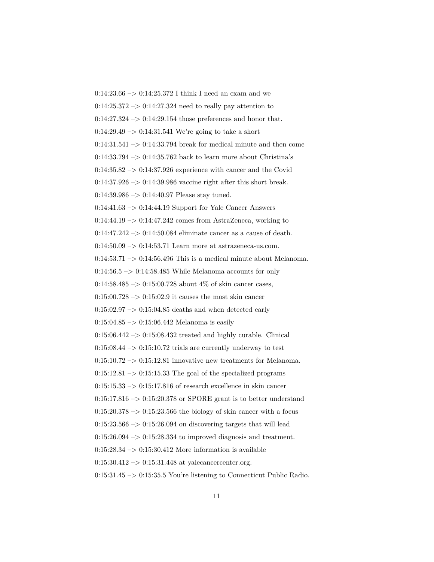0:14:23.66  $\rightarrow$  0:14:25.372 I think I need an exam and we  $0:14:25.372 \rightarrow 0:14:27.324$  need to really pay attention to  $0:14:27.324 \rightarrow 0:14:29.154$  those preferences and honor that.  $0.14:29.49 \rightarrow 0.14:31.541$  We're going to take a short  $0:14:31.541 \rightarrow 0:14:33.794$  break for medical minute and then come  $0:14:33.794 \rightarrow 0:14:35.762$  back to learn more about Christina's  $0:14:35.82 \rightarrow 0:14:37.926$  experience with cancer and the Covid 0:14:37.926 –> 0:14:39.986 vaccine right after this short break.  $0:14:39.986 \rightarrow 0:14:40.97$  Please stay tuned.  $0.14:41.63 \rightarrow 0.14:44.19$  Support for Yale Cancer Answers  $0:14:44.19 \rightarrow 0:14:47.242$  comes from AstraZeneca, working to  $0:14:47.242 \rightarrow 0:14:50.084$  eliminate cancer as a cause of death.  $0:14:50.09 \rightarrow 0:14:53.71$  Learn more at astrazeneca-us.com. 0:14:53.71  $\rightarrow$  0:14:56.496 This is a medical minute about Melanoma.  $0:14:56.5 \rightarrow 0:14:58.485$  While Melanoma accounts for only 0:14:58.485  $\rightarrow$  0:15:00.728 about 4\% of skin cancer cases,  $0:15:00.728 \rightarrow 0:15:02.9$  it causes the most skin cancer  $0:15:02.97 \rightarrow 0:15:04.85$  deaths and when detected early  $0:15:04.85 \rightarrow 0:15:06.442$  Melanoma is easily  $0:15:06.442 \rightarrow 0:15:08.432$  treated and highly curable. Clinical  $0:15:08.44 \rightarrow 0:15:10.72$  trials are currently underway to test  $0:15:10.72 \rightarrow 0:15:12.81$  innovative new treatments for Melanoma.  $0:15:12.81 \rightarrow 0:15:15.33$  The goal of the specialized programs  $0:15:15.33 \rightarrow 0:15:17.816$  of research excellence in skin cancer 0:15:17.816  $\rightarrow$  0:15:20.378 or SPORE grant is to better understand  $0:15:20.378 \rightarrow 0:15:23.566$  the biology of skin cancer with a focus  $0:15:23.566 \rightarrow 0:15:26.094$  on discovering targets that will lead  $0:15:26.094 \rightarrow 0:15:28.334$  to improved diagnosis and treatment.  $0:15:28.34 \rightarrow 0:15:30.412$  More information is available  $0:15:30.412 \rightarrow 0:15:31.448$  at yalecancercenter.org.  $0:15:31.45 \rightarrow 0:15:35.5$  You're listening to Connecticut Public Radio.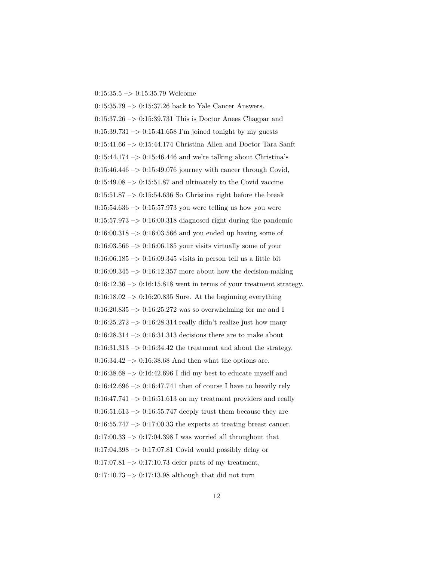## $0:15:35.5 \rightarrow 0:15:35.79$  Welcome

0:15:35.79 –> 0:15:37.26 back to Yale Cancer Answers.  $0:15:37.26 \rightarrow 0:15:39.731$  This is Doctor Anees Chagpar and  $0:15:39.731 \rightarrow 0:15:41.658$  I'm joined tonight by my guests 0:15:41.66 –> 0:15:44.174 Christina Allen and Doctor Tara Sanft  $0:15:44.174 \rightarrow 0:15:46.446$  and we're talking about Christina's  $0:15:46.446 \rightarrow 0:15:49.076$  journey with cancer through Covid,  $0:15:49.08 \rightarrow 0:15:51.87$  and ultimately to the Covid vaccine.  $0:15:51.87 \rightarrow 0:15:54.636$  So Christina right before the break 0:15:54.636  $\rightarrow$  0:15:57.973 you were telling us how you were  $0:15:57.973 \rightarrow 0:16:00.318$  diagnosed right during the pandemic  $0:16:00.318 \rightarrow 0:16:03.566$  and you ended up having some of  $0:16:03.566 \rightarrow 0:16:06.185$  your visits virtually some of your  $0:16:06.185 \rightarrow 0:16:09.345$  visits in person tell us a little bit  $0:16:09.345 \rightarrow 0:16:12.357$  more about how the decision-making  $0:16:12.36 \rightarrow 0:16:15.818$  went in terms of your treatment strategy.  $0:16:18.02 \rightarrow 0:16:20.835$  Sure. At the beginning everything  $0:16:20.835 \rightarrow 0:16:25.272$  was so overwhelming for me and I  $0.16:25.272 \rightarrow 0.16:28.314$  really didn't realize just how many  $0.16:28.314 \rightarrow 0.16:31.313$  decisions there are to make about  $0:16:31.313 \rightarrow 0:16:34.42$  the treatment and about the strategy.  $0.16:34.42 \rightarrow 0.16:38.68$  And then what the options are. 0:16:38.68 –> 0:16:42.696 I did my best to educate myself and  $0:16:42.696 \rightarrow 0:16:47.741$  then of course I have to heavily rely  $0:16:47.741 \rightarrow 0:16:51.613$  on my treatment providers and really  $0:16:51.613 \rightarrow 0:16:55.747$  deeply trust them because they are  $0:16:55.747 \rightarrow 0:17:00.33$  the experts at treating breast cancer.  $0:17:00.33 \rightarrow 0:17:04.398$  I was worried all throughout that  $0.17:04.398 \rightarrow 0.17:07.81$  Covid would possibly delay or  $0:17:07.81 \rightarrow 0:17:10.73$  defer parts of my treatment,  $0:17:10.73 \rightarrow 0:17:13.98$  although that did not turn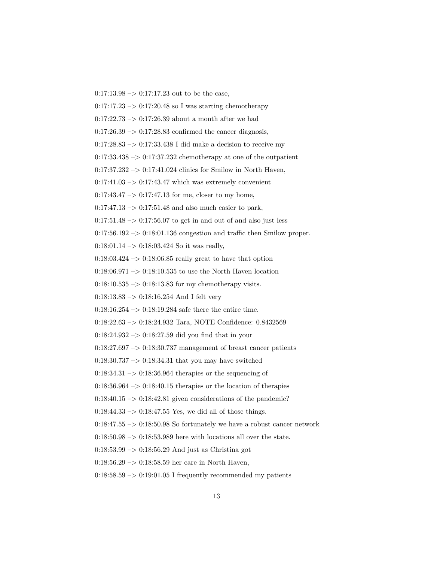$0:17:13.98 \rightarrow 0:17:17.23$  out to be the case,

 $0:17:17.23 \rightarrow 0:17:20.48$  so I was starting chemotherapy

 $0:17:22.73 \rightarrow 0:17:26.39$  about a month after we had

 $0:17:26.39 \rightarrow 0:17:28.83$  confirmed the cancer diagnosis,

 $0:17:28.83 \rightarrow 0:17:33.438$  I did make a decision to receive my

 $0:17:33.438 \rightarrow 0:17:37.232$  chemotherapy at one of the outpatient

 $0:17:37.232 \rightarrow 0:17:41.024$  clinics for Smilow in North Haven,

 $0:17:41.03 \rightarrow 0:17:43.47$  which was extremely convenient

 $0:17:43.47 \rightarrow 0:17:47.13$  for me, closer to my home,

 $0:17:47.13 \rightarrow 0:17:51.48$  and also much easier to park,

 $0.17:51.48 \rightarrow 0.17:56.07$  to get in and out of and also just less

 $0:17:56.192 \rightarrow 0:18:01.136$  congestion and traffic then Smilow proper.

 $0:18:01.14 \rightarrow 0:18:03.424$  So it was really,

 $0:18:03.424 \rightarrow 0:18:06.85$  really great to have that option

 $0.18:06.971 \rightarrow 0.18:10.535$  to use the North Haven location

 $0:18:10.535 \rightarrow 0:18:13.83$  for my chemotherapy visits.

0:18:13.83 –> 0:18:16.254 And I felt very

 $0:18:16.254 \rightarrow 0:18:19.284$  safe there the entire time.

0:18:22.63 –> 0:18:24.932 Tara, NOTE Confidence: 0.8432569

 $0:18:24.932 \rightarrow 0:18:27.59$  did you find that in your

 $0:18:27.697 \rightarrow 0:18:30.737$  management of breast cancer patients

 $0.18:30.737 \rightarrow 0.18:34.31$  that you may have switched

 $0:18:34.31 \rightarrow 0:18:36.964$  therapies or the sequencing of

 $0:18:36.964 \rightarrow 0:18:40.15$  therapies or the location of therapies

 $0.18:40.15 \rightarrow 0.18:42.81$  given considerations of the pandemic?

 $0:18:44.33 \rightarrow 0:18:47.55$  Yes, we did all of those things.

 $0:18:47.55 \rightarrow 0:18:50.98$  So fortunately we have a robust cancer network

 $0:18:50.98 \rightarrow 0:18:53.989$  here with locations all over the state.

 $0.18:53.99 \rightarrow 0.18:56.29$  And just as Christina got

0:18:56.29 –> 0:18:58.59 her care in North Haven,

 $0:18:58.59 \rightarrow 0:19:01.05$  I frequently recommended my patients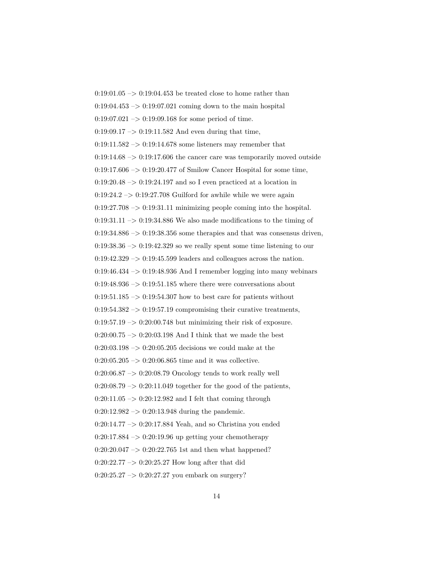$0:19:01.05 \rightarrow 0:19:04.453$  be treated close to home rather than  $0.19:04.453 \rightarrow 0.19:07.021$  coming down to the main hospital  $0:19:07.021 \rightarrow 0:19:09.168$  for some period of time.  $0:19:09.17 \rightarrow 0:19:11.582$  And even during that time,  $0:19:11.582 \rightarrow 0:19:14.678$  some listeners may remember that  $0:19:14.68 \rightarrow 0:19:17.606$  the cancer care was temporarily moved outside  $0:19:17.606 \rightarrow 0:19:20.477$  of Smilow Cancer Hospital for some time,  $0:19:20.48 \rightarrow 0:19:24.197$  and so I even practiced at a location in  $0:19:24.2 \rightarrow 0:19:27.708$  Guilford for awhile while we were again  $0:19:27.708 \rightarrow 0:19:31.11$  minimizing people coming into the hospital.  $0:19:31.11 \rightarrow 0:19:34.886$  We also made modifications to the timing of  $0:19:34.886 \rightarrow 0:19:38.356$  some therapies and that was consensus driven,  $0:19:38.36 \rightarrow 0:19:42.329$  so we really spent some time listening to our  $0:19:42.329 \rightarrow 0:19:45.599$  leaders and colleagues across the nation.  $0:19:46.434 \rightarrow 0:19:48.936$  And I remember logging into many webinars  $0:19:48.936 \rightarrow 0:19:51.185$  where there were conversations about  $0:19:51.185 \rightarrow 0:19:54.307$  how to best care for patients without  $0:19:54.382 \rightarrow 0:19:57.19$  compromising their curative treatments,  $0:19:57.19 \rightarrow 0:20:00.748$  but minimizing their risk of exposure.  $0:20:00.75 \rightarrow 0:20:03.198$  And I think that we made the best  $0:20:03.198 \rightarrow 0:20:05.205$  decisions we could make at the  $0:20:05.205 \rightarrow 0:20:06.865$  time and it was collective.  $0:20:06.87 \rightarrow 0:20:08.79$  Oncology tends to work really well  $0:20:08.79 \rightarrow 0:20:11.049$  together for the good of the patients,  $0:20:11.05 \rightarrow 0:20:12.982$  and I felt that coming through  $0:20:12.982 \rightarrow 0:20:13.948$  during the pandemic.  $0:20:14.77 \rightarrow 0:20:17.884$  Yeah, and so Christina you ended  $0:20:17.884 \rightarrow 0:20:19.96$  up getting your chemotherapy  $0:20:20.047 \rightarrow 0:20:22.765$  1st and then what happened?  $0:20:22.77 \rightarrow 0:20:25.27$  How long after that did  $0:20:25.27 \rightarrow 0:20:27.27$  you embark on surgery?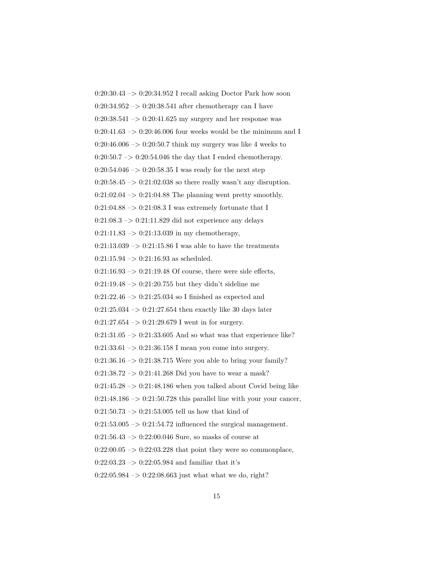0:20:30.43 –> 0:20:34.952 I recall asking Doctor Park how soon  $0.20{:}34.952\ensuremath{\rightarrow} 0{:}20{:}38.541$  after chemotherapy can I have  $0:20:38.541 \rightarrow 0:20:41.625$  my surgery and her response was  $0:20:41.63 \rightarrow 0:20:46.006$  four weeks would be the minimum and I 0:20:46.006  $\rightarrow$  0:20:50.7 think my surgery was like 4 weeks to  $0:20:50.7 \rightarrow 0:20:54.046$  the day that I ended chemotherapy.  $0:20:54.046 \rightarrow 0:20:58.35$  I was ready for the next step  $0:20:58.45 \rightarrow 0:21:02.038$  so there really wasn't any disruption.  $0:21:02.04 \rightarrow 0:21:04.88$  The planning went pretty smoothly.  $0:21:04.88 \rightarrow 0:21:08.3$  I was extremely fortunate that I  $0:21:08.3 \rightarrow 0:21:11.829$  did not experience any delays  $0:21:11.83 \rightarrow 0:21:13.039$  in my chemotherapy,  $0:21:13.039 \rightarrow 0:21:15.86$  I was able to have the treatments  $0:21:15.94 \rightarrow 0:21:16.93$  as scheduled.  $0:21:16.93 \rightarrow 0:21:19.48$  Of course, there were side effects,  $0:21:19.48 \rightarrow 0:21:20.755$  but they didn't sideline me 0:21:22.46  $\rightarrow$  0:21:25.034 so I finished as expected and  $0:21:25.034 \rightarrow 0:21:27.654$  then exactly like 30 days later  $0:21:27.654 \rightarrow 0:21:29.679$  I went in for surgery.  $0:21:31.05 \rightarrow 0:21:33.605$  And so what was that experience like?  $0:21:33.61 \rightarrow 0:21:36.158$  I mean you come into surgery.  $0:21:36.16 \rightarrow 0:21:38.715$  Were you able to bring your family?  $0:21:38.72 \rightarrow 0:21:41.268$  Did you have to wear a mask?  $0:21:45.28 \rightarrow 0:21:48.186$  when you talked about Covid being like  $0:21:48.186 \rightarrow 0:21:50.728$  this parallel line with your your cancer,  $0:21:50.73 \rightarrow 0:21:53.005$  tell us how that kind of  $0:21:53.005 \rightarrow 0:21:54.72$  influenced the surgical management.  $0:21:56.43 \rightarrow 0:22:00.046$  Sure, so masks of course at  $0:22:00.05 \rightarrow 0:22:03.228$  that point they were so commonplace,  $0:22:03.23 \rightarrow 0:22:05.984$  and familiar that it's  $0:22:05.984 \rightarrow 0:22:08.663$  just what what we do, right?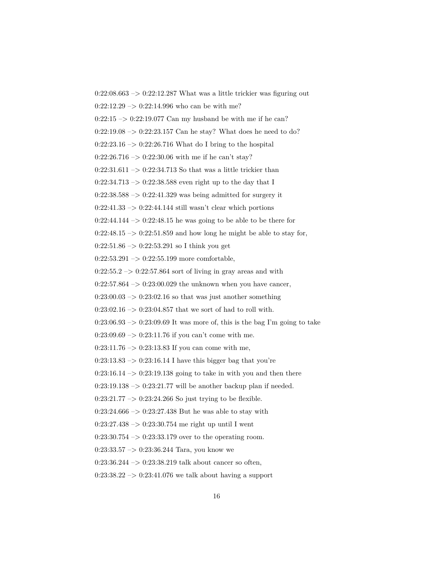$0:22:08.663 \rightarrow 0:22:12.287$  What was a little trickier was figuring out  $0:22:12.29 \rightarrow 0:22:14.996$  who can be with me?  $0:22:15 \rightarrow 0:22:19.077$  Can my husband be with me if he can?  $0:22:19.08 \rightarrow 0:22:23.157$  Can he stay? What does he need to do?  $0:22:23.16 \rightarrow 0:22:26.716$  What do I bring to the hospital  $0:22:26.716 \rightarrow 0:22:30.06$  with me if he can't stay?  $0:22:31.611 \rightarrow 0:22:34.713$  So that was a little trickier than  $0:22:34.713 \rightarrow 0:22:38.588$  even right up to the day that I  $0:22:38.588 \rightarrow 0:22:41.329$  was being admitted for surgery it  $0:22:41.33 \rightarrow 0:22:44.144$  still wasn't clear which portions  $0:22:44.144 \rightarrow 0:22:48.15$  he was going to be able to be there for  $0:22:48.15 \rightarrow 0:22:51.859$  and how long he might be able to stay for,  $0:22:51.86 \rightarrow 0:22:53.291$  so I think you get  $0:22:53.291 \rightarrow 0:22:55.199$  more comfortable,  $0:22:55.2 \rightarrow 0:22:57.864$  sort of living in gray areas and with  $0:22:57.864 \rightarrow 0:23:00.029$  the unknown when you have cancer,  $0:23:00.03 \rightarrow 0:23:02.16$  so that was just another something  $0:23:02.16 \rightarrow 0:23:04.857$  that we sort of had to roll with.  $0:23:06.93 \rightarrow 0:23:09.69$  It was more of, this is the bag I'm going to take  $0:23:09.69 \rightarrow 0:23:11.76$  if you can't come with me.  $0:23:11.76 \rightarrow 0:23:13.83$  If you can come with me,  $0:23:13.83 \rightarrow 0:23:16.14$  I have this bigger bag that you're  $0:23:16.14 \rightarrow 0:23:19.138$  going to take in with you and then there  $0:23:19.138 \rightarrow 0:23:21.77$  will be another backup plan if needed.  $0:23:21.77 \rightarrow 0:23:24.266$  So just trying to be flexible.  $0:23:24.666 \rightarrow 0:23:27.438$  But he was able to stay with  $0:23:27.438 \rightarrow 0:23:30.754$  me right up until I went  $0:23:30.754 \rightarrow 0:23:33.179$  over to the operating room.  $0:23:33.57 \rightarrow 0:23:36.244$  Tara, you know we  $0:23:36.244 \rightarrow 0:23:38.219$  talk about cancer so often,  $0:23:38.22 \rightarrow 0:23:41.076$  we talk about having a support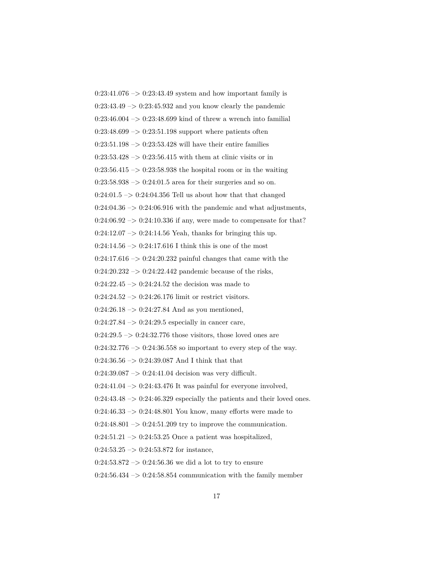$0:23:41.076 \rightarrow 0:23:43.49$  system and how important family is  $0:23:43.49 \rightarrow 0:23:45.932$  and you know clearly the pandemic  $0:23:46.004 \rightarrow 0:23:48.699$  kind of threw a wrench into familial  $0:23:48.699 \rightarrow 0:23:51.198$  support where patients often  $0:23:51.198 \rightarrow 0:23:53.428$  will have their entire families  $0:23:53.428 \rightarrow 0:23:56.415$  with them at clinic visits or in  $0:23:56.415 \rightarrow 0:23:58.938$  the hospital room or in the waiting  $0:23:58.938 \rightarrow 0:24:01.5$  area for their surgeries and so on.  $0:24:01.5 \rightarrow 0:24:04.356$  Tell us about how that that changed  $0:24:04.36 \rightarrow 0:24:06.916$  with the pandemic and what adjustments,  $0:24:06.92 \rightarrow 0:24:10.336$  if any, were made to compensate for that?  $0:24:12.07 \rightarrow 0:24:14.56$  Yeah, thanks for bringing this up.  $0:24:14.56 \rightarrow 0:24:17.616$  I think this is one of the most  $0:24:17.616 \rightarrow 0:24:20.232$  painful changes that came with the  $0:24:20.232 \rightarrow 0:24:22.442$  pandemic because of the risks,  $0:24:22.45 \rightarrow 0:24:24.52$  the decision was made to  $0:24:24.52 \rightarrow 0:24:26.176$  limit or restrict visitors.  $0:24:26.18 \rightarrow 0:24:27.84$  And as you mentioned,  $0:24:27.84 \rightarrow 0:24:29.5$  especially in cancer care,  $0:24:29.5 \rightarrow 0:24:32.776$  those visitors, those loved ones are  $0:24:32.776 \rightarrow 0:24:36.558$  so important to every step of the way. 0:24:36.56  $\Rightarrow$  0:24:39.087 And I think that that  $0:24:39.087 \rightarrow 0:24:41.04$  decision was very difficult.  $0:24:41.04 \rightarrow 0:24:43.476$  It was painful for everyone involved,  $0:24:43.48 \rightarrow 0:24:46.329$  especially the patients and their loved ones.  $0:24:46.33 \rightarrow 0:24:48.801$  You know, many efforts were made to  $0:24:48.801 \rightarrow 0:24:51.209$  try to improve the communication.  $0:24:51.21 \rightarrow 0:24:53.25$  Once a patient was hospitalized,  $0:24:53.25 \rightarrow 0:24:53.872$  for instance,  $0:24:53.872 \rightarrow 0:24:56.36$  we did a lot to try to ensure  $0:24:56.434 \rightarrow 0:24:58.854$  communication with the family member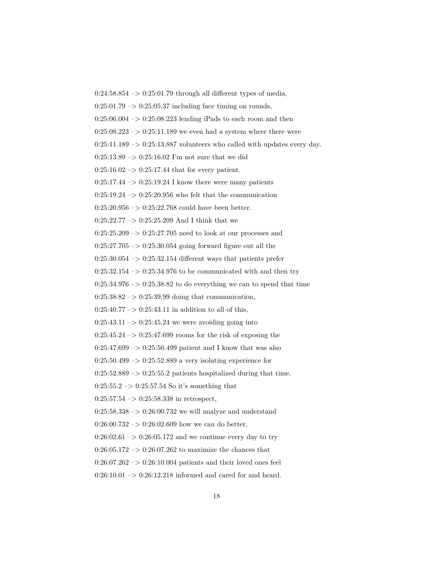$0:24:58.854 \rightarrow 0:25:01.79$  through all different types of media,

 $0:25:01.79 \rightarrow 0:25:05.37$  including face timing on rounds,

 $0:25:06.004 \rightarrow 0:25:08.223$  lending iPads to each room and then

 $0:25:08.223 \rightarrow 0:25:11.189$  we even had a system where there were

 $0:25:11.189 \rightarrow 0:25:13.887$  volunteers who called with updates every day.

 $0:25:13.89 \rightarrow 0:25:16.02$  I'm not sure that we did

 $0:25:16.02 \rightarrow 0:25:17.44$  that for every patient.

 $0:25:17.44 \rightarrow 0:25:19.24$  I know there were many patients

 $0:25:19.24 \rightarrow 0:25:20.956$  who felt that the communication

 $0:25:20.956 \rightarrow 0:25:22.768$  could have been better.

 $0:25:22.77 \rightarrow 0:25:25.209$  And I think that we

 $0:25:25.209 \rightarrow 0:25:27.705$  need to look at our processes and

0:25:27.705 –> 0:25:30.054 going forward figure out all the

 $0:25:30.054 \rightarrow 0:25:32.154$  different ways that patients prefer

 $0:25:32.154 \rightarrow 0:25:34.976$  to be communicated with and then try

 $0:25:34.976 \rightarrow 0:25:38.82$  to do everything we can to spend that time

 $0:25:38.82 \rightarrow 0:25:39.99$  doing that communication,

 $0:25:40.77 \rightarrow 0:25:43.11$  in addition to all of this,

 $0:25:43.11 \rightarrow 0:25:45.24$  we were avoiding going into

 $0:25:45.24 \rightarrow 0:25:47.699$  rooms for the risk of exposing the

 $0:25:47.699 \rightarrow 0:25:50.499$  patient and I know that was also

 $0:25:50.499 \rightarrow 0:25:52.889$  a very isolating experience for

 $0:25:52.889 \rightarrow 0:25:55.2$  patients hospitalized during that time.

 $0:25:55.2 \rightarrow 0:25:57.54$  So it's something that

 $0:25:57.54 \rightarrow 0:25:58.338$  in retrospect,

 $0:25:58.338 \rightarrow 0:26:00.732$  we will analyze and understand

 $0:26:00.732 \rightarrow 0:26:02.609$  how we can do better,

 $0:26:02.61 \rightarrow 0:26:05.172$  and we continue every day to try

 $0:26:05.172 \rightarrow 0:26:07.262$  to maximize the chances that

 $0:26:07.262 \rightarrow 0:26:10.004$  patients and their loved ones feel

 $0:26:10.01 \rightarrow 0:26:12.218$  informed and cared for and heard.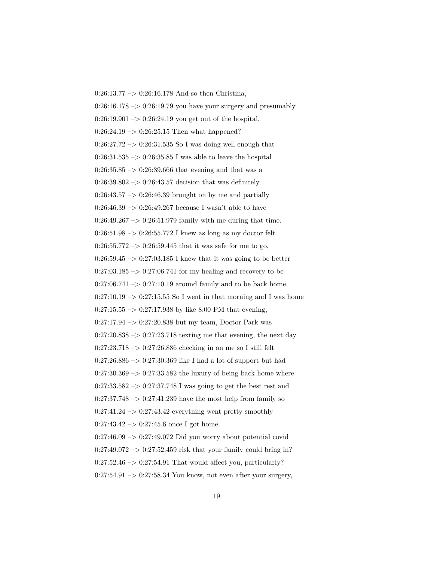$0:26:13.77 \rightarrow 0:26:16.178$  And so then Christina,  $0:26:16.178 \rightarrow 0:26:19.79$  you have your surgery and presumably  $0:26:19.901 \rightarrow 0:26:24.19$  you get out of the hospital.  $0:26:24.19 \rightarrow 0:26:25.15$  Then what happened?  $0:26:27.72 \rightarrow 0:26:31.535$  So I was doing well enough that  $0:26:31.535 \rightarrow 0:26:35.85$  I was able to leave the hospital  $0:26:35.85 \rightarrow 0:26:39.666$  that evening and that was a  $0:26:39.802 \rightarrow 0:26:43.57$  decision that was definitely  $0:26:43.57 \rightarrow 0:26:46.39$  brought on by me and partially  $0:26:46.39 \rightarrow 0:26:49.267$  because I wasn't able to have  $0:26:49.267 \rightarrow 0:26:51.979$  family with me during that time. 0:26:51.98 –> 0:26:55.772 I knew as long as my doctor felt  $0:26:55.772 \rightarrow 0:26:59.445$  that it was safe for me to go,  $0:26:59.45 \rightarrow 0:27:03.185$  I knew that it was going to be better  $0:27:03.185 \rightarrow 0:27:06.741$  for my healing and recovery to be  $0:27:06.741 \rightarrow 0:27:10.19$  around family and to be back home.  $0:27:10.19 \rightarrow 0:27:15.55$  So I went in that morning and I was home  $0:27:15.55 \rightarrow 0:27:17.938$  by like 8:00 PM that evening,  $0:27:17.94 \rightarrow 0:27:20.838$  but my team, Doctor Park was  $0:27:20.838 \rightarrow 0:27:23.718$  texting me that evening, the next day 0:27:23.718 –> 0:27:26.886 checking in on me so I still felt  $0:27:26.886 \rightarrow 0:27:30.369$  like I had a lot of support but had  $0:27:30.369 \rightarrow 0:27:33.582$  the luxury of being back home where 0:27:33.582 –> 0:27:37.748 I was going to get the best rest and  $0:27:37.748 \rightarrow 0:27:41.239$  have the most help from family so  $0:27:41.24 \rightarrow 0:27:43.42$  everything went pretty smoothly  $0:27:43.42 \rightarrow 0:27:45.6$  once I got home.  $0:27:46.09 \rightarrow 0:27:49.072$  Did you worry about potential covid  $0:27:49.072 \rightarrow 0:27:52.459$  risk that your family could bring in?  $0:27:52.46 \rightarrow 0:27:54.91$  That would affect you, particularly?  $0:27:54.91 \rightarrow 0:27:58.34$  You know, not even after your surgery,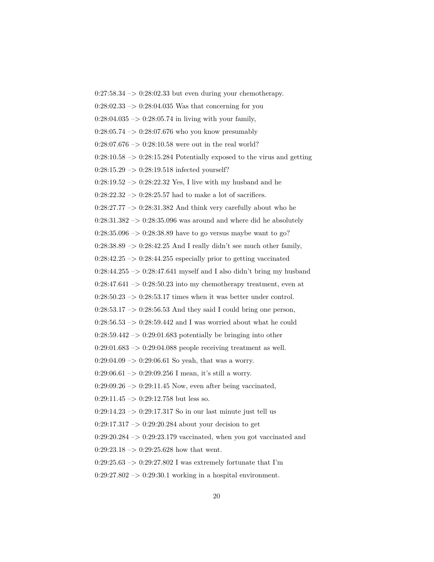$0:27:58.34 \rightarrow 0:28:02.33$  but even during your chemotherapy.  $0:28:02.33 \rightarrow 0:28:04.035$  Was that concerning for you  $0:28:04.035 \rightarrow 0:28:05.74$  in living with your family,  $0:28:05.74 \rightarrow 0:28:07.676$  who you know presumably  $0:28:07.676 \rightarrow 0:28:10.58$  were out in the real world?  $0:28:10.58 \rightarrow 0:28:15.284$  Potentially exposed to the virus and getting 0:28:15.29 –> 0:28:19.518 infected yourself?  $0:28:19.52 \rightarrow 0:28:22.32$  Yes, I live with my husband and he  $0:28:22.32 \rightarrow 0:28:25.57$  had to make a lot of sacrifices.  $0:28:27.77 \rightarrow 0:28:31.382$  And think very carefully about who he  $0:28:31.382 \rightarrow 0:28:35.096$  was around and where did he absolutely  $0:28:35.096 \rightarrow 0:28:38.89$  have to go versus maybe want to go?  $0:28:38.89 \rightarrow 0:28:42.25$  And I really didn't see much other family,  $0:28:42.25 \rightarrow 0:28:44.255$  especially prior to getting vaccinated  $0:28:44.255 \rightarrow 0:28:47.641$  myself and I also didn't bring my husband  $0:28:47.641 \rightarrow 0:28:50.23$  into my chemotherapy treatment, even at  $0:28:50.23 \rightarrow 0:28:53.17$  times when it was better under control.  $0:28:53.17 \rightarrow 0:28:56.53$  And they said I could bring one person,  $0:28:56.53 \rightarrow 0:28:59.442$  and I was worried about what he could  $0:28:59.442 \rightarrow 0:29:01.683$  potentially be bringing into other  $0:29:01.683 \rightarrow 0:29:04.088$  people receiving treatment as well.  $0:29:04.09 \rightarrow 0:29:06.61$  So yeah, that was a worry.  $0:29:06.61 \rightarrow 0:29:09.256$  I mean, it's still a worry.  $0:29:09.26 \rightarrow 0:29:11.45$  Now, even after being vaccinated,  $0:29:11.45 \rightarrow 0:29:12.758$  but less so.  $0:29:14.23 \rightarrow 0:29:17.317$  So in our last minute just tell us  $0:29:17.317 \rightarrow 0:29:20.284$  about your decision to get  $0:29:20.284 \rightarrow 0:29:23.179$  vaccinated, when you got vaccinated and  $0:29:23.18 \rightarrow 0:29:25.628$  how that went.  $0:29:25.63 \rightarrow 0:29:27.802$  I was extremely fortunate that I'm  $0:29:27.802 \rightarrow 0:29:30.1$  working in a hospital environment.